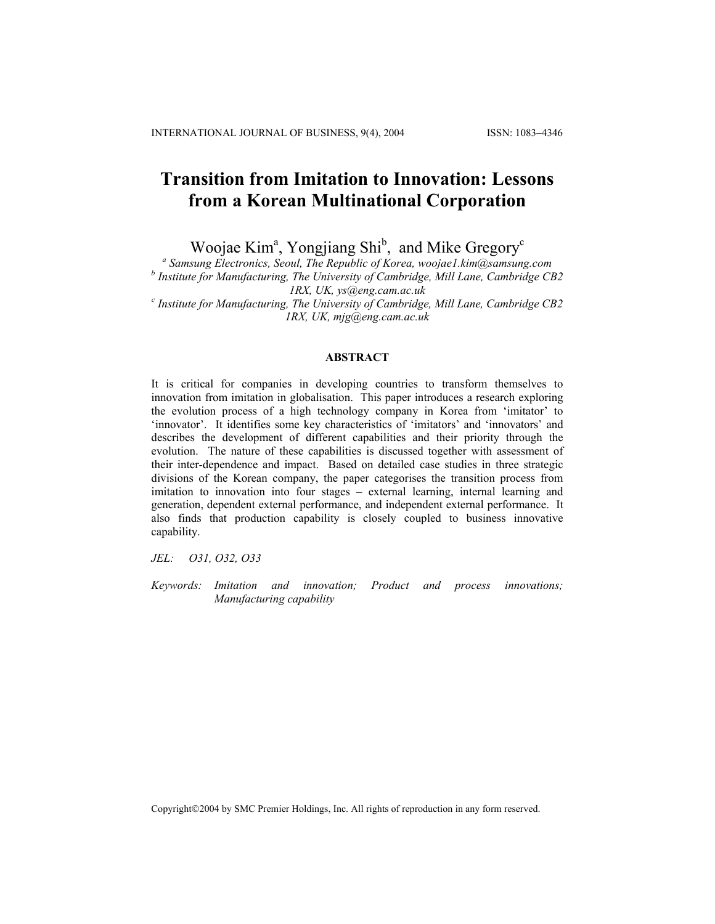# **Transition from Imitation to Innovation: Lessons from a Korean Multinational Corporation**

Woojae Kim<sup>a</sup>, Yongjiang Shi<sup>b</sup>, and Mike Gregory<sup>c</sup>

 *Samsung Electronics, Seoul, The Republic of Korea, woojae1.kim@samsung.com* 

*b Institute for Manufacturing, The University of Cambridge, Mill Lane, Cambridge CB2* 

*1RX, UK, [ys@eng.cam.ac.uk](mailto:ys@eng.cam.ac.uk;) <sup>c</sup> Institute for Manufacturing, The University of Cambridge, Mill Lane, Cambridge CB2 1RX, UK, mjg@eng.cam.ac.uk* 

# **ABSTRACT**

It is critical for companies in developing countries to transform themselves to innovation from imitation in globalisation. This paper introduces a research exploring the evolution process of a high technology company in Korea from 'imitator' to 'innovator'. It identifies some key characteristics of 'imitators' and 'innovators' and describes the development of different capabilities and their priority through the evolution. The nature of these capabilities is discussed together with assessment of their inter-dependence and impact. Based on detailed case studies in three strategic divisions of the Korean company, the paper categorises the transition process from imitation to innovation into four stages – external learning, internal learning and generation, dependent external performance, and independent external performance. It also finds that production capability is closely coupled to business innovative capability.

*JEL: O31, O32, O33* 

*Keywords: Imitation and innovation; Product and process innovations; Manufacturing capability* 

Copyright©2004 by SMC Premier Holdings, Inc. All rights of reproduction in any form reserved.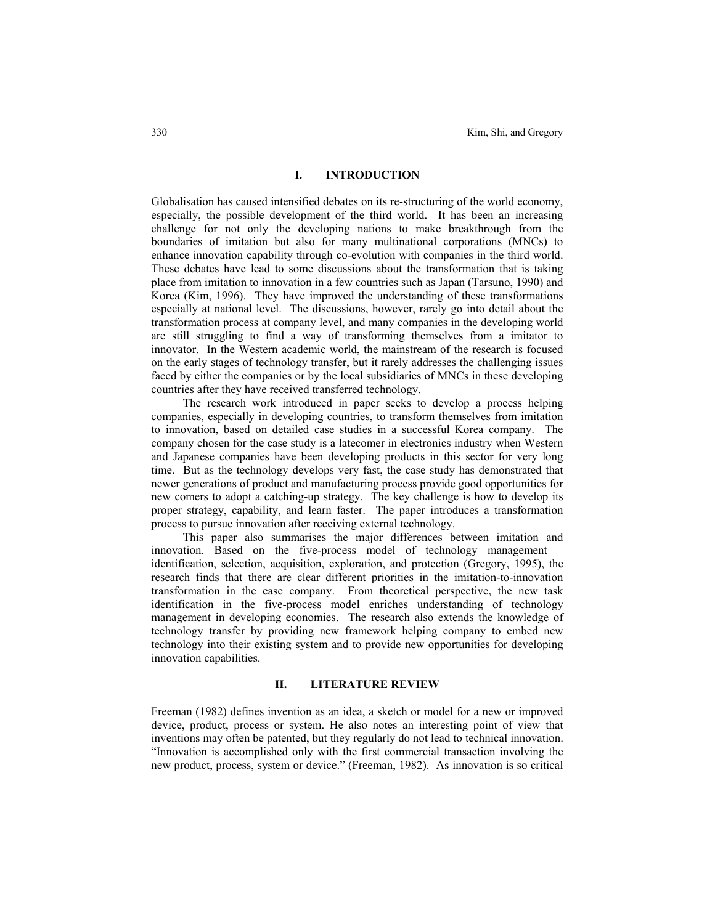# **I. INTRODUCTION**

Globalisation has caused intensified debates on its re-structuring of the world economy, especially, the possible development of the third world. It has been an increasing challenge for not only the developing nations to make breakthrough from the boundaries of imitation but also for many multinational corporations (MNCs) to enhance innovation capability through co-evolution with companies in the third world. These debates have lead to some discussions about the transformation that is taking place from imitation to innovation in a few countries such as Japan (Tarsuno, 1990) and Korea (Kim, 1996). They have improved the understanding of these transformations especially at national level. The discussions, however, rarely go into detail about the transformation process at company level, and many companies in the developing world are still struggling to find a way of transforming themselves from a imitator to innovator. In the Western academic world, the mainstream of the research is focused on the early stages of technology transfer, but it rarely addresses the challenging issues faced by either the companies or by the local subsidiaries of MNCs in these developing countries after they have received transferred technology.

The research work introduced in paper seeks to develop a process helping companies, especially in developing countries, to transform themselves from imitation to innovation, based on detailed case studies in a successful Korea company. The company chosen for the case study is a latecomer in electronics industry when Western and Japanese companies have been developing products in this sector for very long time. But as the technology develops very fast, the case study has demonstrated that newer generations of product and manufacturing process provide good opportunities for new comers to adopt a catching-up strategy. The key challenge is how to develop its proper strategy, capability, and learn faster. The paper introduces a transformation process to pursue innovation after receiving external technology.

This paper also summarises the major differences between imitation and innovation. Based on the five-process model of technology management – identification, selection, acquisition, exploration, and protection (Gregory, 1995), the research finds that there are clear different priorities in the imitation-to-innovation transformation in the case company. From theoretical perspective, the new task identification in the five-process model enriches understanding of technology management in developing economies. The research also extends the knowledge of technology transfer by providing new framework helping company to embed new technology into their existing system and to provide new opportunities for developing innovation capabilities.

### **II. LITERATURE REVIEW**

Freeman (1982) defines invention as an idea, a sketch or model for a new or improved device, product, process or system. He also notes an interesting point of view that inventions may often be patented, but they regularly do not lead to technical innovation. "Innovation is accomplished only with the first commercial transaction involving the new product, process, system or device." (Freeman, 1982). As innovation is so critical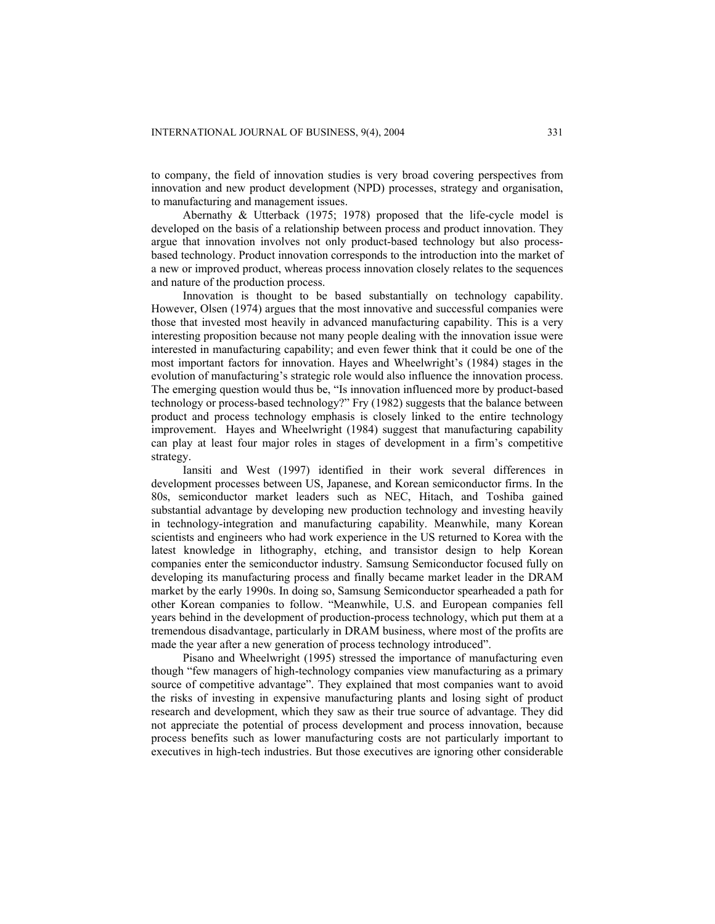to company, the field of innovation studies is very broad covering perspectives from innovation and new product development (NPD) processes, strategy and organisation, to manufacturing and management issues.

Abernathy & Utterback (1975; 1978) proposed that the life-cycle model is developed on the basis of a relationship between process and product innovation. They argue that innovation involves not only product-based technology but also processbased technology. Product innovation corresponds to the introduction into the market of a new or improved product, whereas process innovation closely relates to the sequences and nature of the production process.

Innovation is thought to be based substantially on technology capability. However, Olsen (1974) argues that the most innovative and successful companies were those that invested most heavily in advanced manufacturing capability. This is a very interesting proposition because not many people dealing with the innovation issue were interested in manufacturing capability; and even fewer think that it could be one of the most important factors for innovation. Hayes and Wheelwright's (1984) stages in the evolution of manufacturing's strategic role would also influence the innovation process. The emerging question would thus be, "Is innovation influenced more by product-based technology or process-based technology?" Fry (1982) suggests that the balance between product and process technology emphasis is closely linked to the entire technology improvement. Hayes and Wheelwright (1984) suggest that manufacturing capability can play at least four major roles in stages of development in a firm's competitive strategy.

Iansiti and West (1997) identified in their work several differences in development processes between US, Japanese, and Korean semiconductor firms. In the 80s, semiconductor market leaders such as NEC, Hitach, and Toshiba gained substantial advantage by developing new production technology and investing heavily in technology-integration and manufacturing capability. Meanwhile, many Korean scientists and engineers who had work experience in the US returned to Korea with the latest knowledge in lithography, etching, and transistor design to help Korean companies enter the semiconductor industry. Samsung Semiconductor focused fully on developing its manufacturing process and finally became market leader in the DRAM market by the early 1990s. In doing so, Samsung Semiconductor spearheaded a path for other Korean companies to follow. "Meanwhile, U.S. and European companies fell years behind in the development of production-process technology, which put them at a tremendous disadvantage, particularly in DRAM business, where most of the profits are made the year after a new generation of process technology introduced".

Pisano and Wheelwright (1995) stressed the importance of manufacturing even though "few managers of high-technology companies view manufacturing as a primary source of competitive advantage". They explained that most companies want to avoid the risks of investing in expensive manufacturing plants and losing sight of product research and development, which they saw as their true source of advantage. They did not appreciate the potential of process development and process innovation, because process benefits such as lower manufacturing costs are not particularly important to executives in high-tech industries. But those executives are ignoring other considerable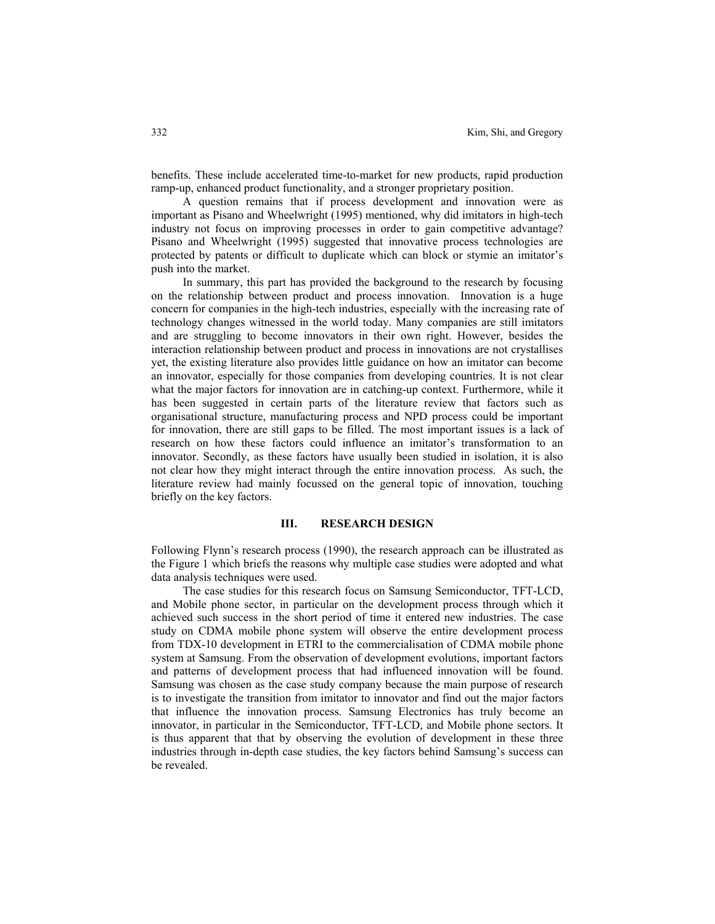benefits. These include accelerated time-to-market for new products, rapid production ramp-up, enhanced product functionality, and a stronger proprietary position.

A question remains that if process development and innovation were as important as Pisano and Wheelwright (1995) mentioned, why did imitators in high-tech industry not focus on improving processes in order to gain competitive advantage? Pisano and Wheelwright (1995) suggested that innovative process technologies are protected by patents or difficult to duplicate which can block or stymie an imitator's push into the market.

In summary, this part has provided the background to the research by focusing on the relationship between product and process innovation. Innovation is a huge concern for companies in the high-tech industries, especially with the increasing rate of technology changes witnessed in the world today. Many companies are still imitators and are struggling to become innovators in their own right. However, besides the interaction relationship between product and process in innovations are not crystallises yet, the existing literature also provides little guidance on how an imitator can become an innovator, especially for those companies from developing countries. It is not clear what the major factors for innovation are in catching-up context. Furthermore, while it has been suggested in certain parts of the literature review that factors such as organisational structure, manufacturing process and NPD process could be important for innovation, there are still gaps to be filled. The most important issues is a lack of research on how these factors could influence an imitator's transformation to an innovator. Secondly, as these factors have usually been studied in isolation, it is also not clear how they might interact through the entire innovation process. As such, the literature review had mainly focussed on the general topic of innovation, touching briefly on the key factors.

#### **III. RESEARCH DESIGN**

Following Flynn's research process (1990), the research approach can be illustrated as the Figure 1 which briefs the reasons why multiple case studies were adopted and what data analysis techniques were used.

The case studies for this research focus on Samsung Semiconductor, TFT-LCD, and Mobile phone sector, in particular on the development process through which it achieved such success in the short period of time it entered new industries. The case study on CDMA mobile phone system will observe the entire development process from TDX-10 development in ETRI to the commercialisation of CDMA mobile phone system at Samsung. From the observation of development evolutions, important factors and patterns of development process that had influenced innovation will be found. Samsung was chosen as the case study company because the main purpose of research is to investigate the transition from imitator to innovator and find out the major factors that influence the innovation process. Samsung Electronics has truly become an innovator, in particular in the Semiconductor, TFT-LCD, and Mobile phone sectors. It is thus apparent that that by observing the evolution of development in these three industries through in-depth case studies, the key factors behind Samsung's success can be revealed.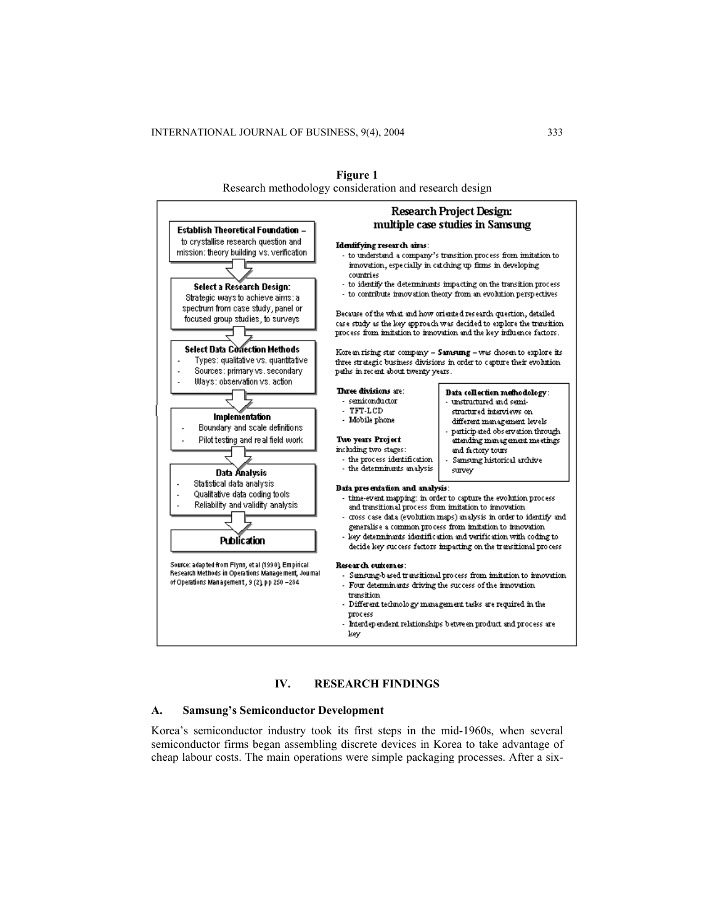

**Figure 1**  Research methodology consideration and research design

# **IV. RESEARCH FINDINGS**

#### **A. Samsung's Semiconductor Development**

Korea's semiconductor industry took its first steps in the mid-1960s, when several semiconductor firms began assembling discrete devices in Korea to take advantage of cheap labour costs. The main operations were simple packaging processes. After a six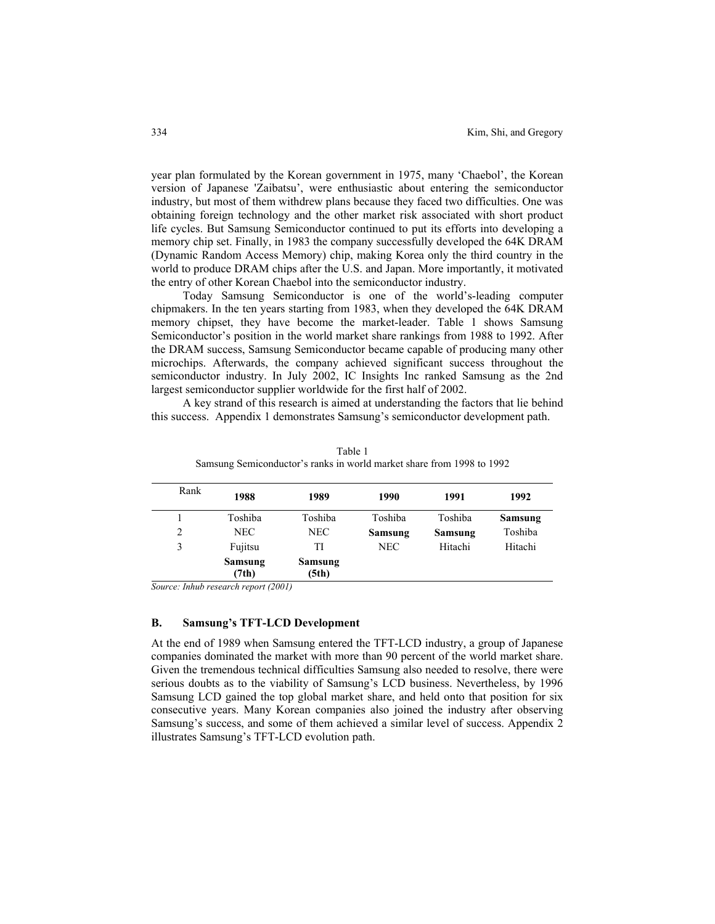year plan formulated by the Korean government in 1975, many 'Chaebol', the Korean version of Japanese 'Zaibatsu', were enthusiastic about entering the semiconductor industry, but most of them withdrew plans because they faced two difficulties. One was obtaining foreign technology and the other market risk associated with short product life cycles. But Samsung Semiconductor continued to put its efforts into developing a memory chip set. Finally, in 1983 the company successfully developed the 64K DRAM (Dynamic Random Access Memory) chip, making Korea only the third country in the world to produce DRAM chips after the U.S. and Japan. More importantly, it motivated the entry of other Korean Chaebol into the semiconductor industry.

Today Samsung Semiconductor is one of the world's-leading computer chipmakers. In the ten years starting from 1983, when they developed the 64K DRAM memory chipset, they have become the market-leader. Table 1 shows Samsung Semiconductor's position in the world market share rankings from 1988 to 1992. After the DRAM success, Samsung Semiconductor became capable of producing many other microchips. Afterwards, the company achieved significant success throughout the semiconductor industry. In July 2002, IC Insights Inc ranked Samsung as the 2nd largest semiconductor supplier worldwide for the first half of 2002.

A key strand of this research is aimed at understanding the factors that lie behind this success. Appendix 1 demonstrates Samsung's semiconductor development path.

| Rank | 1988             | 1989             | 1990       | 1991    | 1992    |
|------|------------------|------------------|------------|---------|---------|
|      | Toshiba          | Toshiba          | Toshiba    | Toshiba | Samsung |
| 2    | NEC.             | NEC.             | Samsung    | Samsung | Toshiba |
| 3    | Fujitsu          | TI               | <b>NEC</b> | Hitachi | Hitachi |
|      | Samsung<br>(7th) | Samsung<br>(5th) |            |         |         |

Table 1 Samsung Semiconductor's ranks in world market share from 1998 to 1992

*Source: Inhub research report (2001)*

# **B. Samsung's TFT-LCD Development**

At the end of 1989 when Samsung entered the TFT-LCD industry, a group of Japanese companies dominated the market with more than 90 percent of the world market share. Given the tremendous technical difficulties Samsung also needed to resolve, there were serious doubts as to the viability of Samsung's LCD business. Nevertheless, by 1996 Samsung LCD gained the top global market share, and held onto that position for six consecutive years. Many Korean companies also joined the industry after observing Samsung's success, and some of them achieved a similar level of success. Appendix 2 illustrates Samsung's TFT-LCD evolution path.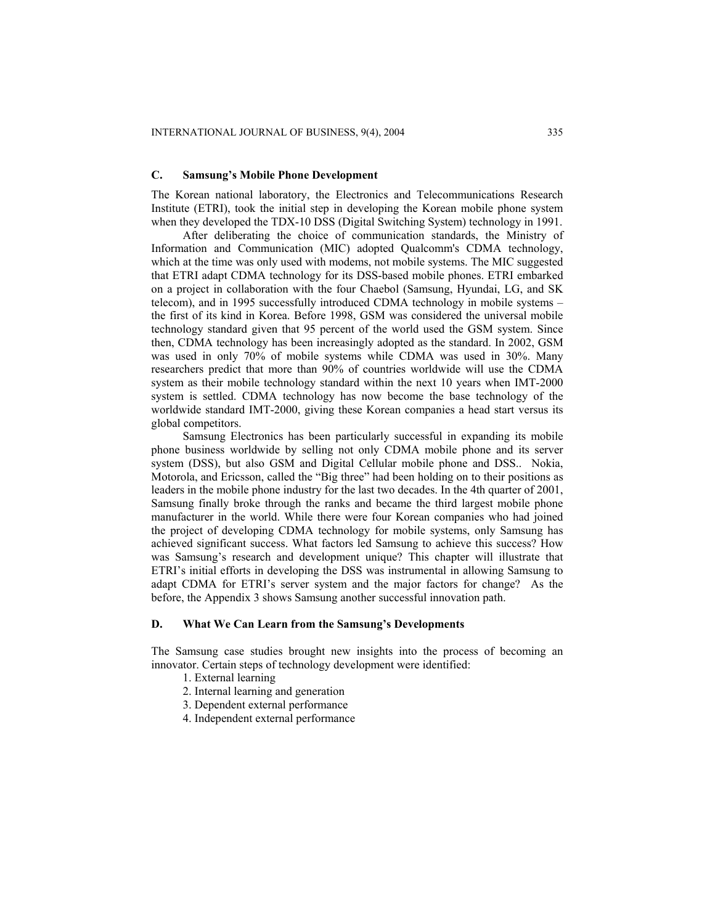#### **C. Samsung's Mobile Phone Development**

The Korean national laboratory, the Electronics and Telecommunications Research Institute (ETRI), took the initial step in developing the Korean mobile phone system when they developed the TDX-10 DSS (Digital Switching System) technology in 1991.

After deliberating the choice of communication standards, the Ministry of Information and Communication (MIC) adopted Qualcomm's CDMA technology, which at the time was only used with modems, not mobile systems. The MIC suggested that ETRI adapt CDMA technology for its DSS-based mobile phones. ETRI embarked on a project in collaboration with the four Chaebol (Samsung, Hyundai, LG, and SK telecom), and in 1995 successfully introduced CDMA technology in mobile systems – the first of its kind in Korea. Before 1998, GSM was considered the universal mobile technology standard given that 95 percent of the world used the GSM system. Since then, CDMA technology has been increasingly adopted as the standard. In 2002, GSM was used in only 70% of mobile systems while CDMA was used in 30%. Many researchers predict that more than 90% of countries worldwide will use the CDMA system as their mobile technology standard within the next 10 years when IMT-2000 system is settled. CDMA technology has now become the base technology of the worldwide standard IMT-2000, giving these Korean companies a head start versus its global competitors.

Samsung Electronics has been particularly successful in expanding its mobile phone business worldwide by selling not only CDMA mobile phone and its server system (DSS), but also GSM and Digital Cellular mobile phone and DSS.. Nokia, Motorola, and Ericsson, called the "Big three" had been holding on to their positions as leaders in the mobile phone industry for the last two decades. In the 4th quarter of 2001, Samsung finally broke through the ranks and became the third largest mobile phone manufacturer in the world. While there were four Korean companies who had joined the project of developing CDMA technology for mobile systems, only Samsung has achieved significant success. What factors led Samsung to achieve this success? How was Samsung's research and development unique? This chapter will illustrate that ETRI's initial efforts in developing the DSS was instrumental in allowing Samsung to adapt CDMA for ETRI's server system and the major factors for change? As the before, the Appendix 3 shows Samsung another successful innovation path.

## **D. What We Can Learn from the Samsung's Developments**

The Samsung case studies brought new insights into the process of becoming an innovator. Certain steps of technology development were identified:

- 1. External learning
- 2. Internal learning and generation
- 3. Dependent external performance
- 4. Independent external performance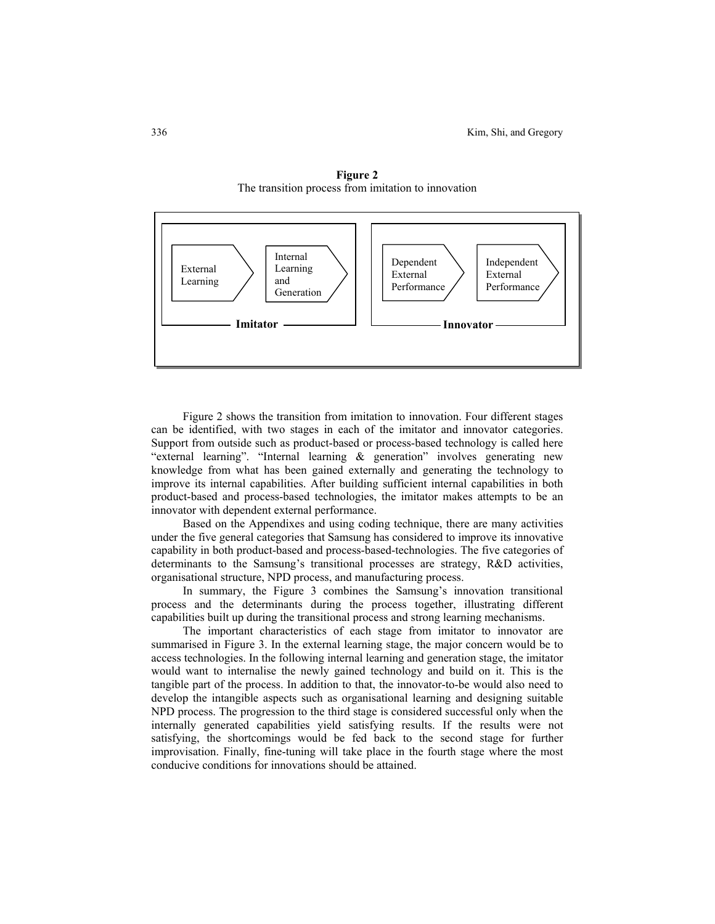

**Figure 2**  The transition process from imitation to innovation

Figure 2 shows the transition from imitation to innovation. Four different stages can be identified, with two stages in each of the imitator and innovator categories. Support from outside such as product-based or process-based technology is called here "external learning". "Internal learning & generation" involves generating new knowledge from what has been gained externally and generating the technology to improve its internal capabilities. After building sufficient internal capabilities in both product-based and process-based technologies, the imitator makes attempts to be an innovator with dependent external performance.

Based on the Appendixes and using coding technique, there are many activities under the five general categories that Samsung has considered to improve its innovative capability in both product-based and process-based-technologies. The five categories of determinants to the Samsung's transitional processes are strategy, R&D activities, organisational structure, NPD process, and manufacturing process.

In summary, the Figure 3 combines the Samsung's innovation transitional process and the determinants during the process together, illustrating different capabilities built up during the transitional process and strong learning mechanisms.

The important characteristics of each stage from imitator to innovator are summarised in Figure 3. In the external learning stage, the major concern would be to access technologies. In the following internal learning and generation stage, the imitator would want to internalise the newly gained technology and build on it. This is the tangible part of the process. In addition to that, the innovator-to-be would also need to develop the intangible aspects such as organisational learning and designing suitable NPD process. The progression to the third stage is considered successful only when the internally generated capabilities yield satisfying results. If the results were not satisfying, the shortcomings would be fed back to the second stage for further improvisation. Finally, fine-tuning will take place in the fourth stage where the most conducive conditions for innovations should be attained.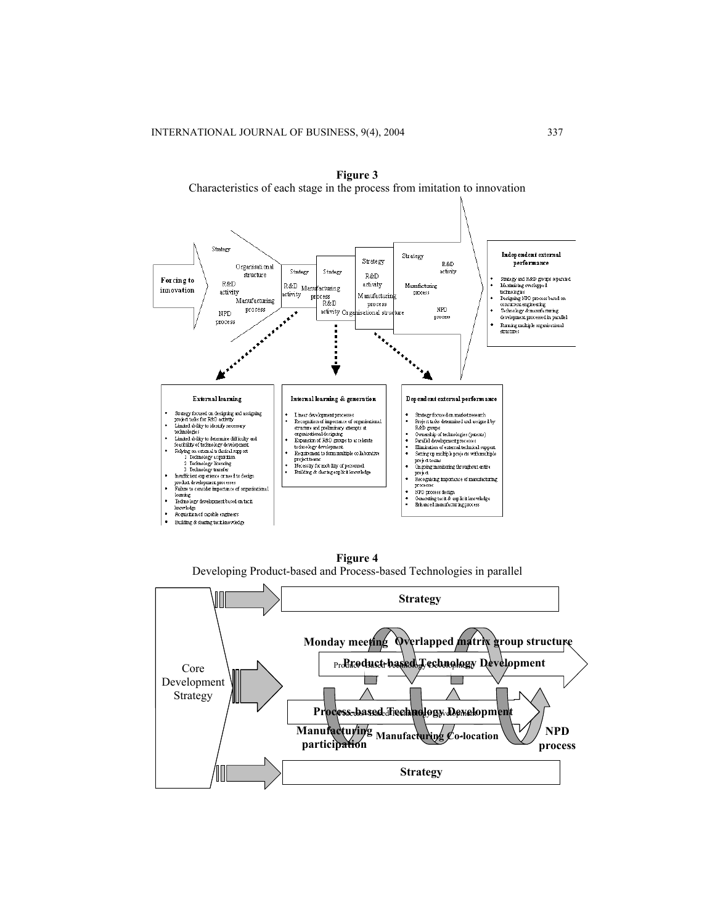

**Figure 3**  Characteristics of each stage in the process from imitation to innovation

**Figure 4**  Developing Product-based and Process-based Technologies in parallel

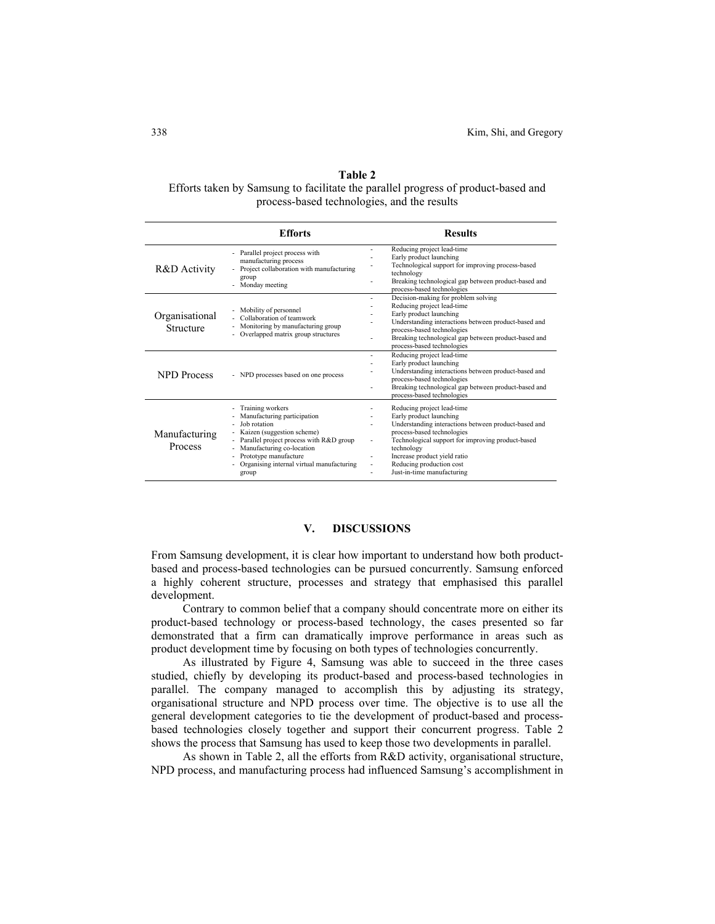# **Table 2**  Efforts taken by Samsung to facilitate the parallel progress of product-based and process-based technologies, and the results

|                                 | <b>Efforts</b>                                                                                                                                                                                                                                                                     | <b>Results</b>                                                                                                                                                                                                                                                                                                                                                        |
|---------------------------------|------------------------------------------------------------------------------------------------------------------------------------------------------------------------------------------------------------------------------------------------------------------------------------|-----------------------------------------------------------------------------------------------------------------------------------------------------------------------------------------------------------------------------------------------------------------------------------------------------------------------------------------------------------------------|
| R&D Activity                    | - Parallel project process with<br>manufacturing process<br>Project collaboration with manufacturing<br>$\sim$<br>group<br>Monday meeting<br>$\overline{a}$                                                                                                                        | Reducing project lead-time<br>÷.<br>Early product launching<br>$\overline{a}$<br>Technological support for improving process-based<br>technology<br>Breaking technological gap between product-based and<br>٠<br>process-based technologies                                                                                                                           |
| Organisational<br>Structure     | Mobility of personnel<br>Collaboration of teamwork<br>Monitoring by manufacturing group<br>Overlapped matrix group structures                                                                                                                                                      | Decision-making for problem solving<br>$\overline{\phantom{a}}$<br>Reducing project lead-time<br>٠<br>Early product launching<br>Understanding interactions between product-based and<br>process-based technologies<br>Breaking technological gap between product-based and<br>٠<br>process-based technologies                                                        |
| NPD Process                     | NPD processes based on one process                                                                                                                                                                                                                                                 | Reducing project lead-time<br>÷.<br>Early product launching<br>Understanding interactions between product-based and<br>process-based technologies<br>Breaking technological gap between product-based and<br>٠<br>process-based technologies                                                                                                                          |
| Manufacturing<br><b>Process</b> | Training workers<br>Manufacturing participation<br>Job rotation<br>Kaizen (suggestion scheme)<br>- Parallel project process with R&D group<br>Manufacturing co-location<br>Prototype manufacture<br>$\overline{\phantom{0}}$<br>Organising internal virtual manufacturing<br>group | Reducing project lead-time<br>Early product launching<br>٠<br>Understanding interactions between product-based and<br>٠<br>process-based technologies<br>Technological support for improving product-based<br>$\overline{\phantom{a}}$<br>technology<br>Increase product yield ratio<br>٠<br>Reducing production cost<br>$\overline{a}$<br>Just-in-time manufacturing |

# **V. DISCUSSIONS**

From Samsung development, it is clear how important to understand how both productbased and process-based technologies can be pursued concurrently. Samsung enforced a highly coherent structure, processes and strategy that emphasised this parallel development.

Contrary to common belief that a company should concentrate more on either its product-based technology or process-based technology, the cases presented so far demonstrated that a firm can dramatically improve performance in areas such as product development time by focusing on both types of technologies concurrently.

As illustrated by Figure 4, Samsung was able to succeed in the three cases studied, chiefly by developing its product-based and process-based technologies in parallel. The company managed to accomplish this by adjusting its strategy, organisational structure and NPD process over time. The objective is to use all the general development categories to tie the development of product-based and processbased technologies closely together and support their concurrent progress. Table 2 shows the process that Samsung has used to keep those two developments in parallel.

As shown in Table 2, all the efforts from R&D activity, organisational structure, NPD process, and manufacturing process had influenced Samsung's accomplishment in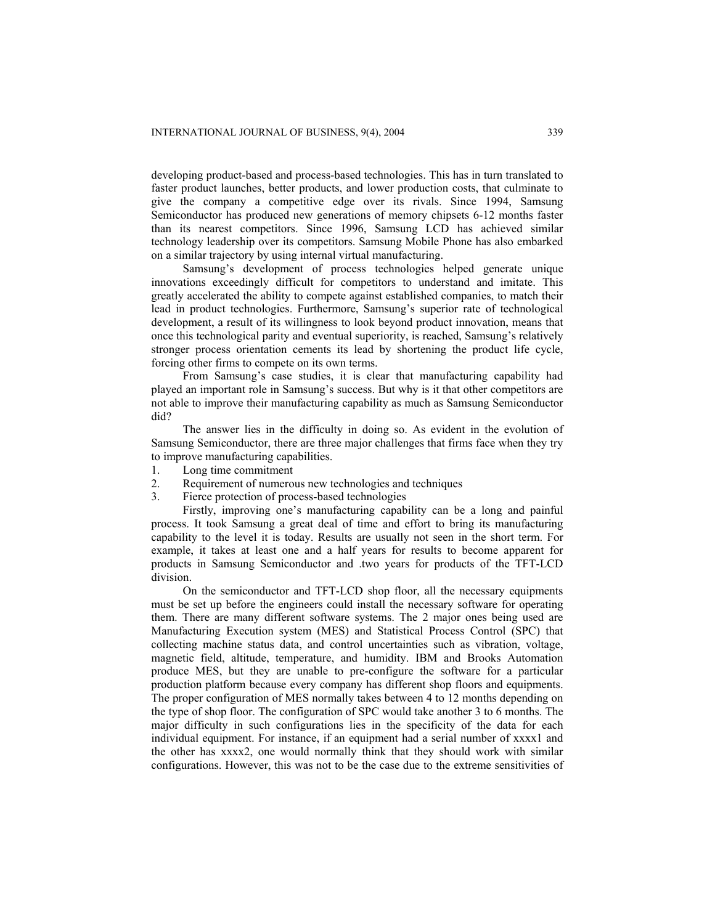developing product-based and process-based technologies. This has in turn translated to faster product launches, better products, and lower production costs, that culminate to give the company a competitive edge over its rivals. Since 1994, Samsung Semiconductor has produced new generations of memory chipsets 6-12 months faster than its nearest competitors. Since 1996, Samsung LCD has achieved similar technology leadership over its competitors. Samsung Mobile Phone has also embarked on a similar trajectory by using internal virtual manufacturing.

Samsung's development of process technologies helped generate unique innovations exceedingly difficult for competitors to understand and imitate. This greatly accelerated the ability to compete against established companies, to match their lead in product technologies. Furthermore, Samsung's superior rate of technological development, a result of its willingness to look beyond product innovation, means that once this technological parity and eventual superiority, is reached, Samsung's relatively stronger process orientation cements its lead by shortening the product life cycle, forcing other firms to compete on its own terms.

From Samsung's case studies, it is clear that manufacturing capability had played an important role in Samsung's success. But why is it that other competitors are not able to improve their manufacturing capability as much as Samsung Semiconductor did?

The answer lies in the difficulty in doing so. As evident in the evolution of Samsung Semiconductor, there are three major challenges that firms face when they try to improve manufacturing capabilities.

- 1. Long time commitment
- 2. Requirement of numerous new technologies and techniques
- 3. Fierce protection of process-based technologies

Firstly, improving one's manufacturing capability can be a long and painful process. It took Samsung a great deal of time and effort to bring its manufacturing capability to the level it is today. Results are usually not seen in the short term. For example, it takes at least one and a half years for results to become apparent for products in Samsung Semiconductor and .two years for products of the TFT-LCD division.

On the semiconductor and TFT-LCD shop floor, all the necessary equipments must be set up before the engineers could install the necessary software for operating them. There are many different software systems. The 2 major ones being used are Manufacturing Execution system (MES) and Statistical Process Control (SPC) that collecting machine status data, and control uncertainties such as vibration, voltage, magnetic field, altitude, temperature, and humidity. IBM and Brooks Automation produce MES, but they are unable to pre-configure the software for a particular production platform because every company has different shop floors and equipments. The proper configuration of MES normally takes between 4 to 12 months depending on the type of shop floor. The configuration of SPC would take another 3 to 6 months. The major difficulty in such configurations lies in the specificity of the data for each individual equipment. For instance, if an equipment had a serial number of xxxx1 and the other has xxxx2, one would normally think that they should work with similar configurations. However, this was not to be the case due to the extreme sensitivities of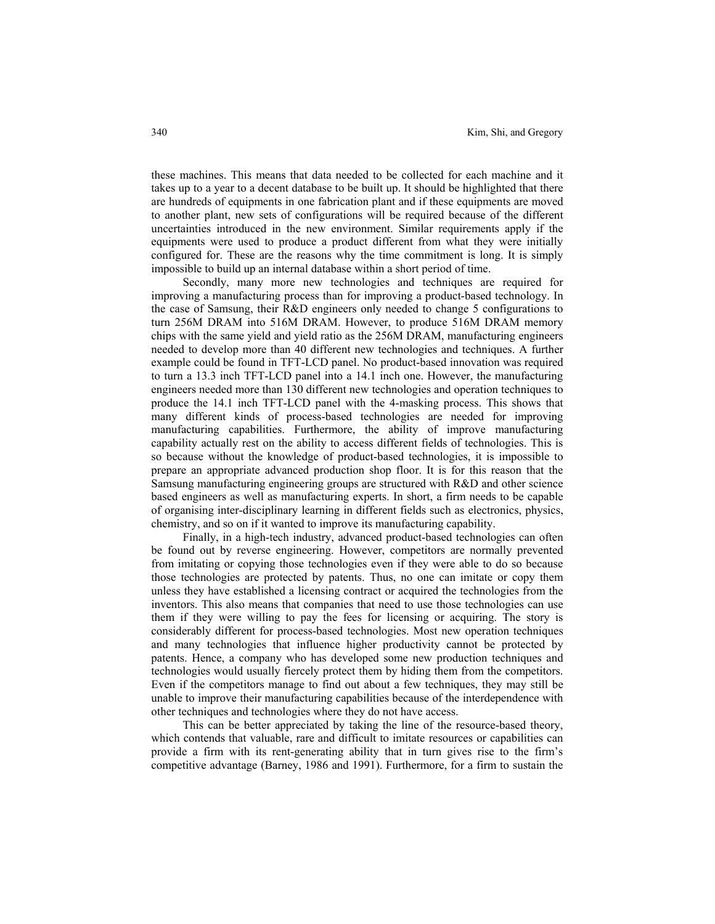these machines. This means that data needed to be collected for each machine and it takes up to a year to a decent database to be built up. It should be highlighted that there are hundreds of equipments in one fabrication plant and if these equipments are moved to another plant, new sets of configurations will be required because of the different uncertainties introduced in the new environment. Similar requirements apply if the equipments were used to produce a product different from what they were initially configured for. These are the reasons why the time commitment is long. It is simply impossible to build up an internal database within a short period of time.

Secondly, many more new technologies and techniques are required for improving a manufacturing process than for improving a product-based technology. In the case of Samsung, their R&D engineers only needed to change 5 configurations to turn 256M DRAM into 516M DRAM. However, to produce 516M DRAM memory chips with the same yield and yield ratio as the 256M DRAM, manufacturing engineers needed to develop more than 40 different new technologies and techniques. A further example could be found in TFT-LCD panel. No product-based innovation was required to turn a 13.3 inch TFT-LCD panel into a 14.1 inch one. However, the manufacturing engineers needed more than 130 different new technologies and operation techniques to produce the 14.1 inch TFT-LCD panel with the 4-masking process. This shows that many different kinds of process-based technologies are needed for improving manufacturing capabilities. Furthermore, the ability of improve manufacturing capability actually rest on the ability to access different fields of technologies. This is so because without the knowledge of product-based technologies, it is impossible to prepare an appropriate advanced production shop floor. It is for this reason that the Samsung manufacturing engineering groups are structured with R&D and other science based engineers as well as manufacturing experts. In short, a firm needs to be capable of organising inter-disciplinary learning in different fields such as electronics, physics, chemistry, and so on if it wanted to improve its manufacturing capability.

Finally, in a high-tech industry, advanced product-based technologies can often be found out by reverse engineering. However, competitors are normally prevented from imitating or copying those technologies even if they were able to do so because those technologies are protected by patents. Thus, no one can imitate or copy them unless they have established a licensing contract or acquired the technologies from the inventors. This also means that companies that need to use those technologies can use them if they were willing to pay the fees for licensing or acquiring. The story is considerably different for process-based technologies. Most new operation techniques and many technologies that influence higher productivity cannot be protected by patents. Hence, a company who has developed some new production techniques and technologies would usually fiercely protect them by hiding them from the competitors. Even if the competitors manage to find out about a few techniques, they may still be unable to improve their manufacturing capabilities because of the interdependence with other techniques and technologies where they do not have access.

This can be better appreciated by taking the line of the resource-based theory, which contends that valuable, rare and difficult to imitate resources or capabilities can provide a firm with its rent-generating ability that in turn gives rise to the firm's competitive advantage (Barney, 1986 and 1991). Furthermore, for a firm to sustain the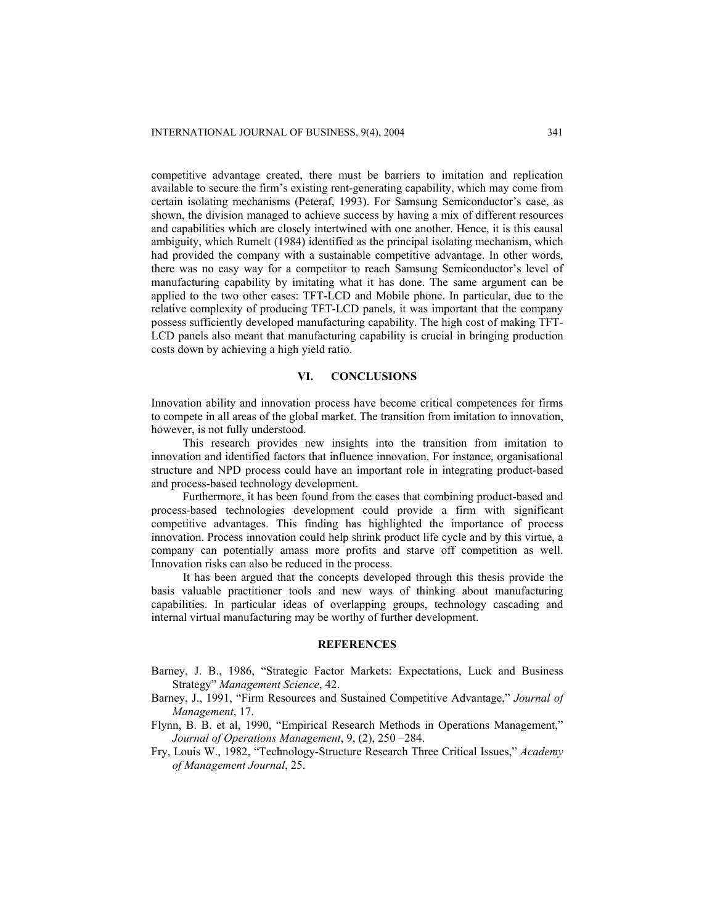competitive advantage created, there must be barriers to imitation and replication available to secure the firm's existing rent-generating capability, which may come from certain isolating mechanisms (Peteraf, 1993). For Samsung Semiconductor's case, as shown, the division managed to achieve success by having a mix of different resources and capabilities which are closely intertwined with one another. Hence, it is this causal ambiguity, which Rumelt (1984) identified as the principal isolating mechanism, which had provided the company with a sustainable competitive advantage. In other words, there was no easy way for a competitor to reach Samsung Semiconductor's level of manufacturing capability by imitating what it has done. The same argument can be applied to the two other cases: TFT-LCD and Mobile phone. In particular, due to the relative complexity of producing TFT-LCD panels, it was important that the company possess sufficiently developed manufacturing capability. The high cost of making TFT-LCD panels also meant that manufacturing capability is crucial in bringing production costs down by achieving a high yield ratio.

#### **VI. CONCLUSIONS**

Innovation ability and innovation process have become critical competences for firms to compete in all areas of the global market. The transition from imitation to innovation, however, is not fully understood.

This research provides new insights into the transition from imitation to innovation and identified factors that influence innovation. For instance, organisational structure and NPD process could have an important role in integrating product-based and process-based technology development.

Furthermore, it has been found from the cases that combining product-based and process-based technologies development could provide a firm with significant competitive advantages. This finding has highlighted the importance of process innovation. Process innovation could help shrink product life cycle and by this virtue, a company can potentially amass more profits and starve off competition as well. Innovation risks can also be reduced in the process.

It has been argued that the concepts developed through this thesis provide the basis valuable practitioner tools and new ways of thinking about manufacturing capabilities. In particular ideas of overlapping groups, technology cascading and internal virtual manufacturing may be worthy of further development.

### **REFERENCES**

- Barney, J. B., 1986, "Strategic Factor Markets: Expectations, Luck and Business Strategy" *Management Science*, 42.
- Barney, J., 1991, "Firm Resources and Sustained Competitive Advantage," *Journal of Management*, 17.
- Flynn, B. B. et al, 1990, "Empirical Research Methods in Operations Management," *Journal of Operations Management*, 9, (2), 250 –284.
- Fry, Louis W., 1982, "Technology-Structure Research Three Critical Issues," *Academy of Management Journal*, 25.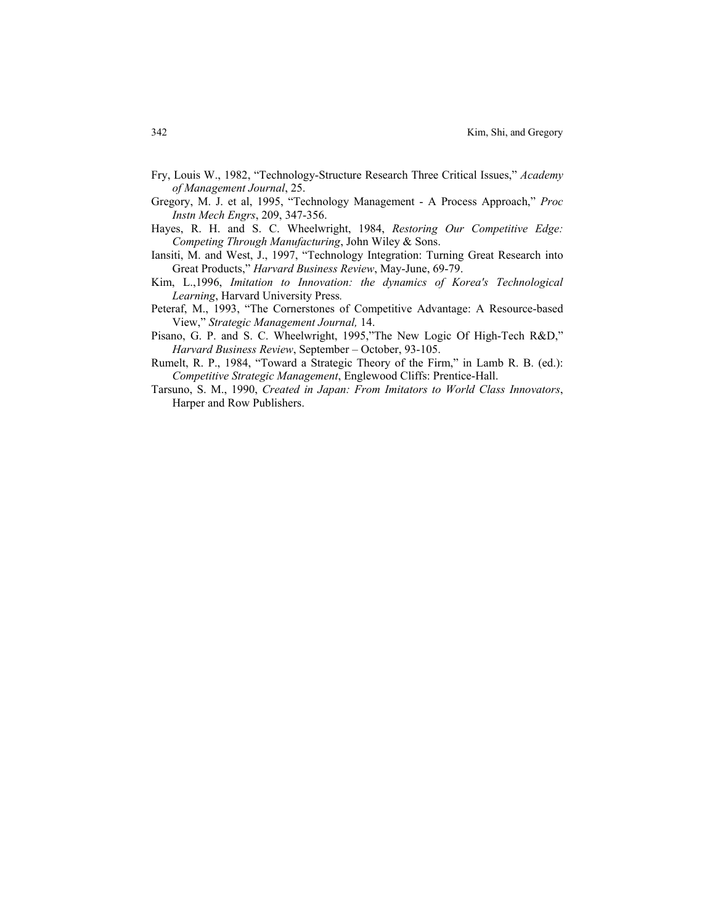- Fry, Louis W., 1982, "Technology-Structure Research Three Critical Issues," *Academy of Management Journal*, 25.
- Gregory, M. J. et al, 1995, "Technology Management A Process Approach," *Proc Instn Mech Engrs*, 209, 347-356.
- Hayes, R. H. and S. C. Wheelwright, 1984, *Restoring Our Competitive Edge: Competing Through Manufacturing*, John Wiley & Sons.
- Iansiti, M. and West, J., 1997, "Technology Integration: Turning Great Research into Great Products," *Harvard Business Review*, May-June, 69-79.
- Kim, L.,1996, *Imitation to Innovation: the dynamics of Korea's Technological Learning*, Harvard University Press*.*
- Peteraf, M., 1993, "The Cornerstones of Competitive Advantage: A Resource-based View," *Strategic Management Journal,* 14.
- Pisano, G. P. and S. C. Wheelwright, 1995,"The New Logic Of High-Tech R&D," *Harvard Business Review*, September – October, 93-105.
- Rumelt, R. P., 1984, "Toward a Strategic Theory of the Firm," in Lamb R. B. (ed.): *Competitive Strategic Management*, Englewood Cliffs: Prentice-Hall.
- Tarsuno, S. M., 1990, *Created in Japan: From Imitators to World Class Innovators*, Harper and Row Publishers.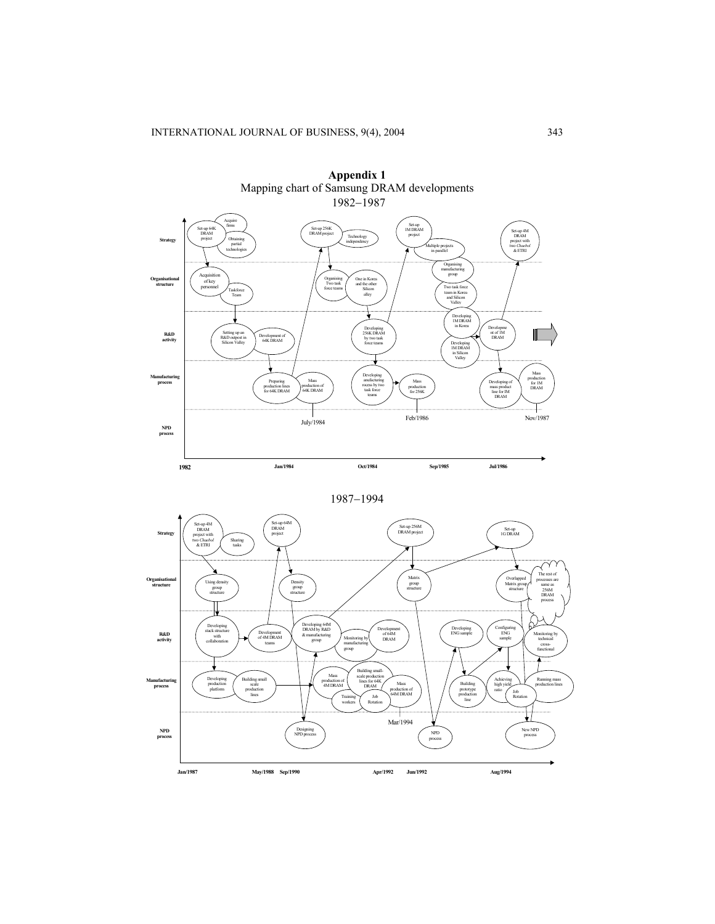



1987−1994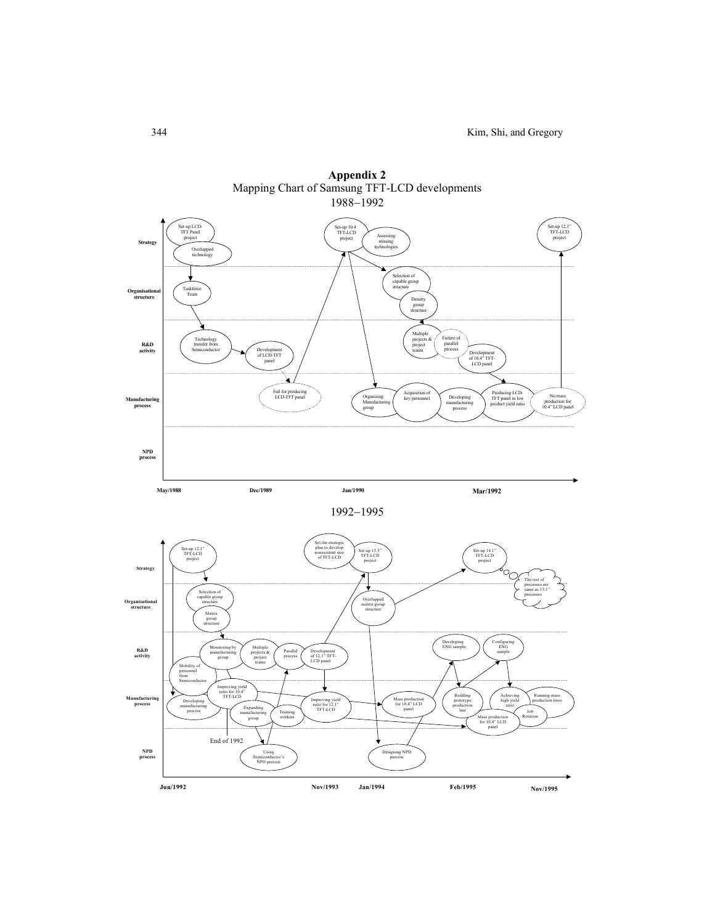



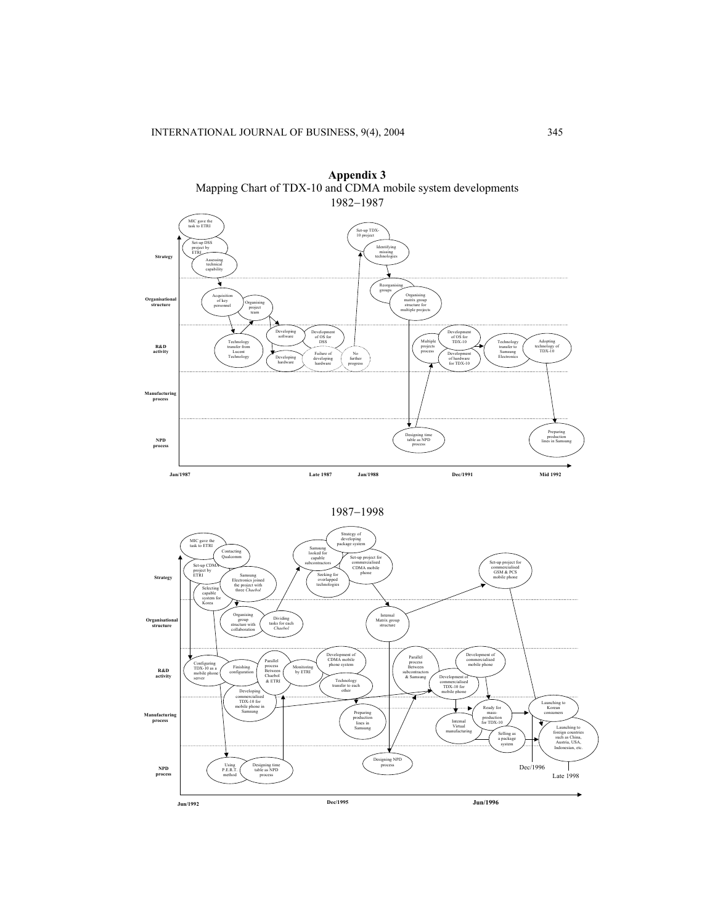





1987−1998